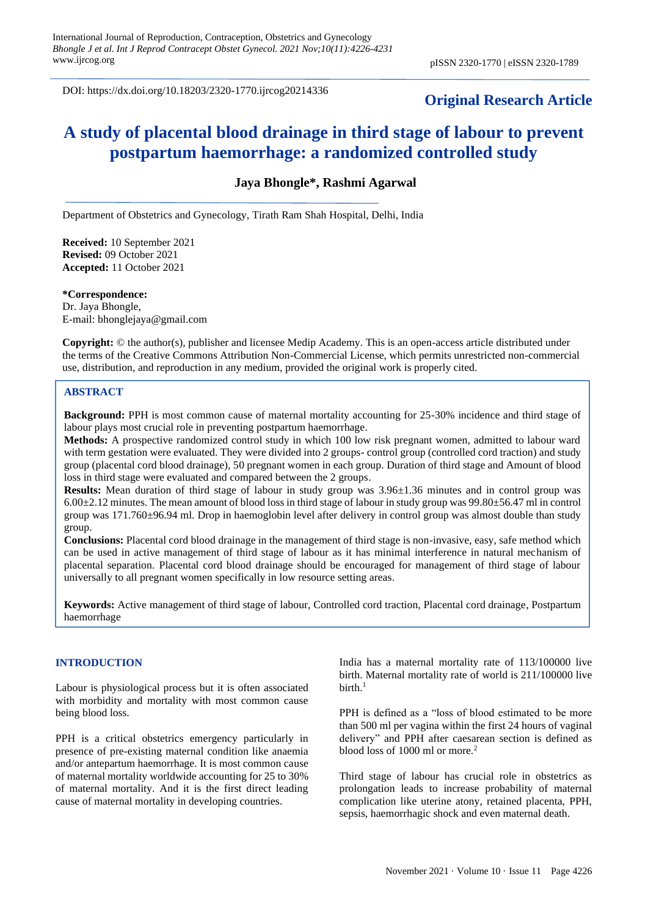DOI: https://dx.doi.org/10.18203/2320-1770.ijrcog20214336

# **Original Research Article**

# **A study of placental blood drainage in third stage of labour to prevent postpartum haemorrhage: a randomized controlled study**

**Jaya Bhongle\*, Rashmi Agarwal**

Department of Obstetrics and Gynecology, Tirath Ram Shah Hospital, Delhi, India

**Received:** 10 September 2021 **Revised:** 09 October 2021 **Accepted:** 11 October 2021

**\*Correspondence:** Dr. Jaya Bhongle, E-mail: bhonglejaya@gmail.com

**Copyright:** © the author(s), publisher and licensee Medip Academy. This is an open-access article distributed under the terms of the Creative Commons Attribution Non-Commercial License, which permits unrestricted non-commercial use, distribution, and reproduction in any medium, provided the original work is properly cited.

### **ABSTRACT**

**Background:** PPH is most common cause of maternal mortality accounting for 25-30% incidence and third stage of labour plays most crucial role in preventing postpartum haemorrhage.

**Methods:** A prospective randomized control study in which 100 low risk pregnant women, admitted to labour ward with term gestation were evaluated. They were divided into 2 groups- control group (controlled cord traction) and study group (placental cord blood drainage), 50 pregnant women in each group. Duration of third stage and Amount of blood loss in third stage were evaluated and compared between the 2 groups.

**Results:** Mean duration of third stage of labour in study group was 3.96±1.36 minutes and in control group was  $6.00\pm2.12$  minutes. The mean amount of blood loss in third stage of labour in study group was 99.80 $\pm$ 56.47 ml in control group was 171.760±96.94 ml. Drop in haemoglobin level after delivery in control group was almost double than study group.

**Conclusions:** Placental cord blood drainage in the management of third stage is non-invasive, easy, safe method which can be used in active management of third stage of labour as it has minimal interference in natural mechanism of placental separation. Placental cord blood drainage should be encouraged for management of third stage of labour universally to all pregnant women specifically in low resource setting areas.

**Keywords:** Active management of third stage of labour, Controlled cord traction, Placental cord drainage, Postpartum haemorrhage

### **INTRODUCTION**

Labour is physiological process but it is often associated with morbidity and mortality with most common cause being blood loss.

PPH is a critical obstetrics emergency particularly in presence of pre-existing maternal condition like anaemia and/or antepartum haemorrhage. It is most common cause of maternal mortality worldwide accounting for 25 to 30% of maternal mortality. And it is the first direct leading cause of maternal mortality in developing countries.

India has a maternal mortality rate of 113/100000 live birth. Maternal mortality rate of world is 211/100000 live  $birth<sup>1</sup>$ 

PPH is defined as a "loss of blood estimated to be more than 500 ml per vagina within the first 24 hours of vaginal delivery" and PPH after caesarean section is defined as blood loss of 1000 ml or more.<sup>2</sup>

Third stage of labour has crucial role in obstetrics as prolongation leads to increase probability of maternal complication like uterine atony, retained placenta, PPH, sepsis, haemorrhagic shock and even maternal death.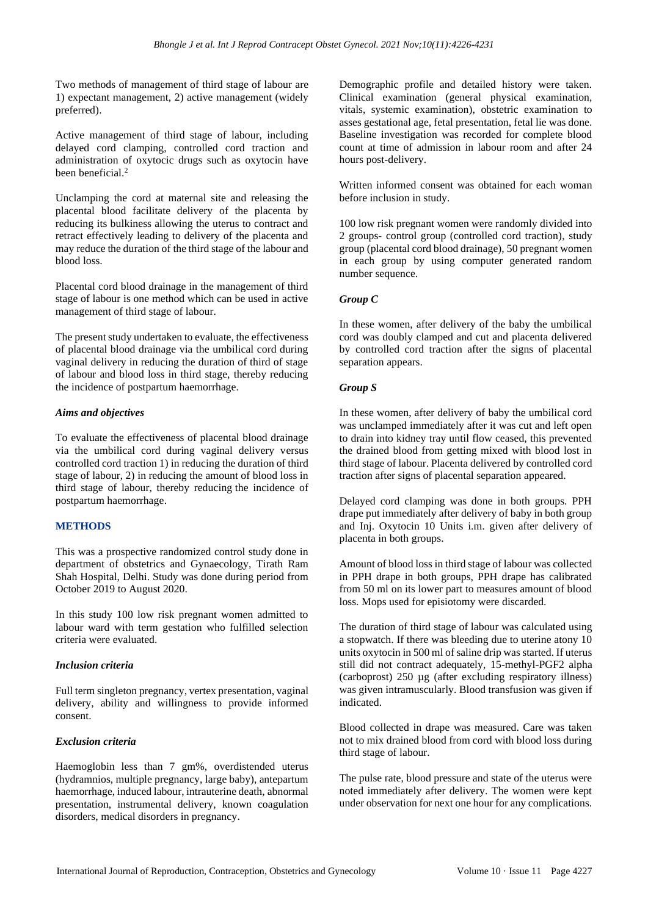Two methods of management of third stage of labour are 1) expectant management, 2) active management (widely preferred).

Active management of third stage of labour, including delayed cord clamping, controlled cord traction and administration of oxytocic drugs such as oxytocin have been beneficial.<sup>2</sup>

Unclamping the cord at maternal site and releasing the placental blood facilitate delivery of the placenta by reducing its bulkiness allowing the uterus to contract and retract effectively leading to delivery of the placenta and may reduce the duration of the third stage of the labour and blood loss.

Placental cord blood drainage in the management of third stage of labour is one method which can be used in active management of third stage of labour.

The present study undertaken to evaluate, the effectiveness of placental blood drainage via the umbilical cord during vaginal delivery in reducing the duration of third of stage of labour and blood loss in third stage, thereby reducing the incidence of postpartum haemorrhage.

### *Aims and objectives*

To evaluate the effectiveness of placental blood drainage via the umbilical cord during vaginal delivery versus controlled cord traction 1) in reducing the duration of third stage of labour, 2) in reducing the amount of blood loss in third stage of labour, thereby reducing the incidence of postpartum haemorrhage.

### **METHODS**

This was a prospective randomized control study done in department of obstetrics and Gynaecology, Tirath Ram Shah Hospital, Delhi. Study was done during period from October 2019 to August 2020.

In this study 100 low risk pregnant women admitted to labour ward with term gestation who fulfilled selection criteria were evaluated.

### *Inclusion criteria*

Full term singleton pregnancy, vertex presentation, vaginal delivery, ability and willingness to provide informed consent.

### *Exclusion criteria*

Haemoglobin less than 7 gm%, overdistended uterus (hydramnios, multiple pregnancy, large baby), antepartum haemorrhage, induced labour, intrauterine death, abnormal presentation, instrumental delivery, known coagulation disorders, medical disorders in pregnancy.

Demographic profile and detailed history were taken. Clinical examination (general physical examination, vitals, systemic examination), obstetric examination to asses gestational age, fetal presentation, fetal lie was done. Baseline investigation was recorded for complete blood count at time of admission in labour room and after 24 hours post-delivery.

Written informed consent was obtained for each woman before inclusion in study.

100 low risk pregnant women were randomly divided into 2 groups- control group (controlled cord traction), study group (placental cord blood drainage), 50 pregnant women in each group by using computer generated random number sequence.

### *Group C*

In these women, after delivery of the baby the umbilical cord was doubly clamped and cut and placenta delivered by controlled cord traction after the signs of placental separation appears.

### *Group S*

In these women, after delivery of baby the umbilical cord was unclamped immediately after it was cut and left open to drain into kidney tray until flow ceased, this prevented the drained blood from getting mixed with blood lost in third stage of labour. Placenta delivered by controlled cord traction after signs of placental separation appeared.

Delayed cord clamping was done in both groups. PPH drape put immediately after delivery of baby in both group and Inj. Oxytocin 10 Units i.m. given after delivery of placenta in both groups.

Amount of blood loss in third stage of labour was collected in PPH drape in both groups, PPH drape has calibrated from 50 ml on its lower part to measures amount of blood loss. Mops used for episiotomy were discarded.

The duration of third stage of labour was calculated using a stopwatch. If there was bleeding due to uterine atony 10 units oxytocin in 500 ml of saline drip was started. If uterus still did not contract adequately, 15-methyl-PGF2 alpha (carboprost) 250 µg (after excluding respiratory illness) was given intramuscularly. Blood transfusion was given if indicated.

Blood collected in drape was measured. Care was taken not to mix drained blood from cord with blood loss during third stage of labour.

The pulse rate, blood pressure and state of the uterus were noted immediately after delivery. The women were kept under observation for next one hour for any complications.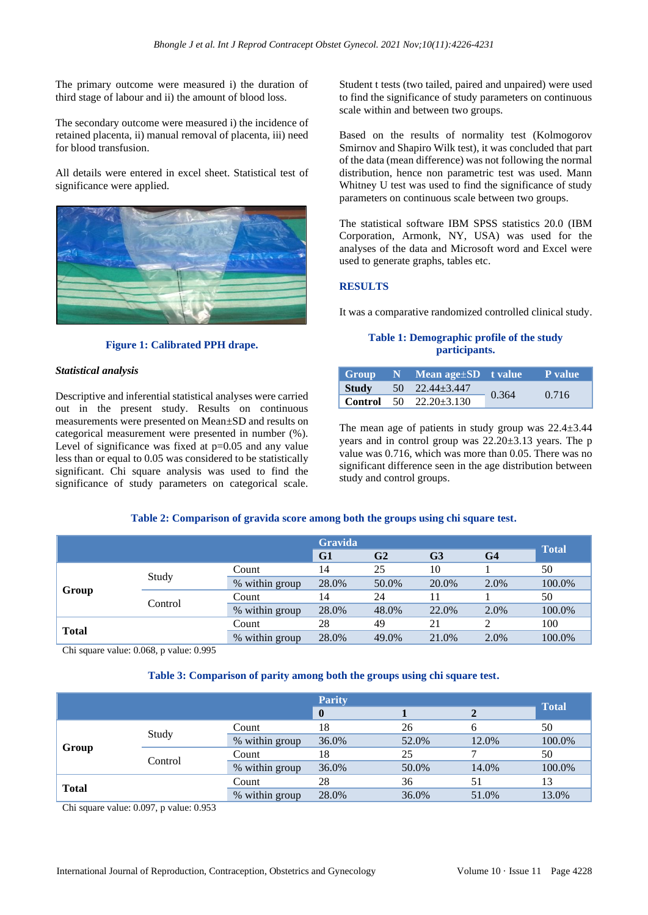The primary outcome were measured i) the duration of third stage of labour and ii) the amount of blood loss.

The secondary outcome were measured i) the incidence of retained placenta, ii) manual removal of placenta, iii) need for blood transfusion.

All details were entered in excel sheet. Statistical test of significance were applied.



#### **Figure 1: Calibrated PPH drape.**

#### *Statistical analysis*

Descriptive and inferential statistical analyses were carried out in the present study. Results on continuous measurements were presented on Mean±SD and results on categorical measurement were presented in number (%). Level of significance was fixed at  $p=0.05$  and any value less than or equal to 0.05 was considered to be statistically significant. Chi square analysis was used to find the significance of study parameters on categorical scale. Student t tests (two tailed, paired and unpaired) were used to find the significance of study parameters on continuous scale within and between two groups.

Based on the results of normality test (Kolmogorov Smirnov and Shapiro Wilk test), it was concluded that part of the data (mean difference) was not following the normal distribution, hence non parametric test was used. Mann Whitney U test was used to find the significance of study parameters on continuous scale between two groups.

The statistical software IBM SPSS statistics 20.0 (IBM Corporation, Armonk, NY, USA) was used for the analyses of the data and Microsoft word and Excel were used to generate graphs, tables etc.

#### **RESULTS**

It was a comparative randomized controlled clinical study.

#### **Table 1: Demographic profile of the study participants.**

|       | $Group \quad N \quad Mean \, age \pm SD \quad t \, value'$ |       | $\blacksquare$ P value |
|-------|------------------------------------------------------------|-------|------------------------|
| Study | $50 \quad 22.44 \pm 3.447$                                 | 0.364 | 0.716                  |
|       | <b>Control</b> 50 $22.20 \pm 3.130$                        |       |                        |

The mean age of patients in study group was  $22.4 \pm 3.44$ years and in control group was 22.20±3.13 years. The p value was 0.716, which was more than 0.05. There was no significant difference seen in the age distribution between study and control groups.

### **Table 2: Comparison of gravida score among both the groups using chi square test.**

|              |         |                | <b>Gravida</b> |                                                    |       |      |        |  |
|--------------|---------|----------------|----------------|----------------------------------------------------|-------|------|--------|--|
|              |         |                | G1             | G <sub>2</sub><br>G <sub>3</sub><br>G <sub>4</sub> |       |      |        |  |
| Group        |         | Count          | 14             | 25                                                 | 10    |      | 50     |  |
|              | Study   | % within group | 28.0%          | 50.0%                                              | 20.0% | 2.0% | 100.0% |  |
|              |         | Count          | 14             | 24                                                 |       |      | 50     |  |
|              | Control | % within group | 28.0%          | 48.0%                                              | 22.0% | 2.0% | 100.0% |  |
| <b>Total</b> |         | Count          | 28             | 49                                                 | 21    |      | 100    |  |
|              |         | % within group | 28.0%          | 49.0%                                              | 21.0% | 2.0% | 100.0% |  |

Chi square value: 0.068, p value: 0.995

#### **Table 3: Comparison of parity among both the groups using chi square test.**

|              |         | <b>Parity</b>  |              |       |       |              |  |
|--------------|---------|----------------|--------------|-------|-------|--------------|--|
|              |         |                | $\mathbf{0}$ |       |       | <b>Total</b> |  |
| Group        | Study   | Count          | 18           | 26    |       | 50           |  |
|              |         | % within group | 36.0%        | 52.0% | 12.0% | 100.0%       |  |
|              |         | Count          | 18           | 25    |       | 50           |  |
|              | Control | % within group | 36.0%        | 50.0% | 14.0% | 100.0%       |  |
|              |         | Count          | 28           | 36    | 51    | 13           |  |
| <b>Total</b> |         | % within group | 28.0%        | 36.0% | 51.0% | 13.0%        |  |

Chi square value: 0.097, p value: 0.953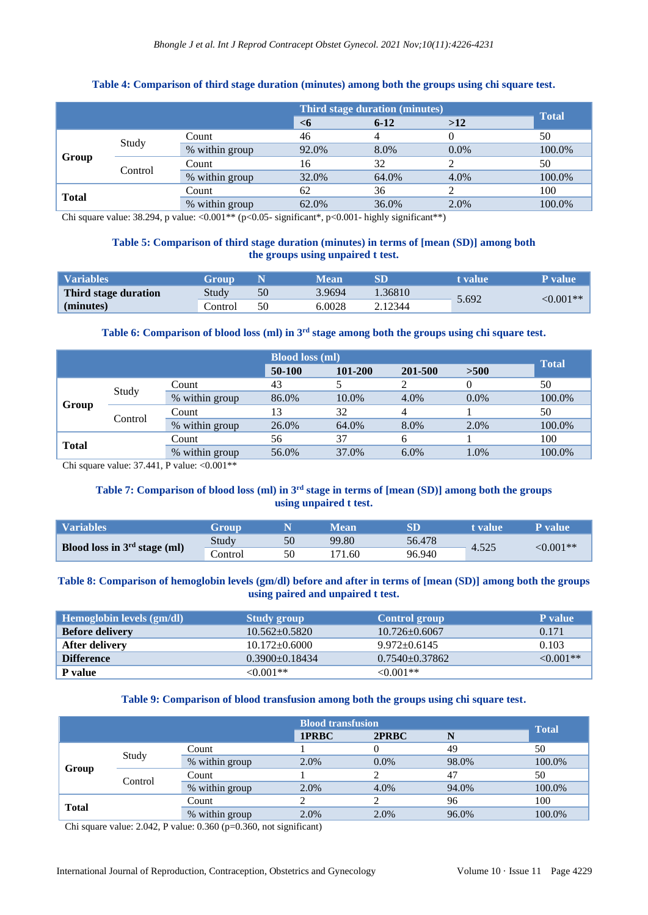|                           | Third stage duration (minutes) |                |       |          |         |              |  |
|---------------------------|--------------------------------|----------------|-------|----------|---------|--------------|--|
|                           |                                |                | $<$ 6 | $6 - 12$ | >12     | <b>Total</b> |  |
| Study<br>Group<br>Control | Count                          | 46             |       |          | 50      |              |  |
|                           |                                | % within group | 92.0% | 8.0%     | $0.0\%$ | 100.0%       |  |
|                           |                                | Count          | 16    | 32       |         | 50           |  |
|                           |                                | % within group | 32.0% | 64.0%    | 4.0%    | 100.0%       |  |
| <b>Total</b>              |                                | Count          | 62    | 36       |         | 100          |  |
|                           |                                | % within group | 62.0% | 36.0%    | 2.0%    | 100.0%       |  |

### **Table 4: Comparison of third stage duration (minutes) among both the groups using chi square test.**

Chi square value: 38.294, p value: <0.001<sup>\*\*</sup> (p<0.05- significant\*, p<0.001- highly significant\*\*)

# **Table 5: Comparison of third stage duration (minutes) in terms of [mean (SD)] among both the groups using unpaired t test.**

| Variables            | Group   |    | Mean   |         | t value | P value        |
|----------------------|---------|----|--------|---------|---------|----------------|
| Third stage duration | Study   | 50 | 3.9694 | 1.36810 |         | $\leq 0.001**$ |
| (minutes)            | `ontrol | 50 | 6.0028 | 2.12344 | 5.692   |                |

# **Table 6: Comparison of blood loss (ml) in 3rd stage among both the groups using chi square test.**

|                           |                | <b>Blood loss (ml)</b> | <b>Total</b> |                |         |        |
|---------------------------|----------------|------------------------|--------------|----------------|---------|--------|
|                           |                | 50-100                 | 101-200      | 201-500        | >500    |        |
| Study<br>Group<br>Control | Count          | 43                     |              |                |         | 50     |
|                           | % within group | 86.0%                  | 10.0%        | 4.0%           | $0.0\%$ | 100.0% |
|                           | Count          | 13                     | 32           | $\overline{4}$ |         | 50     |
|                           | % within group | 26.0%                  | 64.0%        | 8.0%           | 2.0%    | 100.0% |
|                           | Count          | 56                     | 37           | h              |         | 100    |
| <b>Total</b>              | % within group | 56.0%                  | 37.0%        | $6.0\%$        | 1.0%    | 100.0% |

Chi square value:  $37.441$ , P value:  $\langle 0.001$ \*\*

# **Table 7: Comparison of blood loss (ml) in 3rd stage in terms of [mean (SD)] among both the groups using unpaired t test.**

| <b>Variables</b>               | Group   |    | Mean  |        | t value | P value    |
|--------------------------------|---------|----|-------|--------|---------|------------|
| Blood loss in $3rd$ stage (ml) | Study   | 50 | 99.80 | 56.478 | 4.525   | $<0.001**$ |
|                                | Control | 50 | 71.60 | 96.940 |         |            |

## **Table 8: Comparison of hemoglobin levels (gm/dl) before and after in terms of [mean (SD)] among both the groups using paired and unpaired t test.**

| Hemoglobin levels (gm/dl) | Study group       | Control group     | <b>P</b> value |
|---------------------------|-------------------|-------------------|----------------|
| <b>Before delivery</b>    | $10.562 + 0.5820$ | $10.726 + 0.6067$ | 0.171          |
| After delivery            | $10.172 + 0.6000$ | $9.972 + 0.6145$  | 0.103          |
| <b>Difference</b>         | $0.3900+0.18434$  | $0.7540+0.37862$  | $<0.001**$     |
| P value                   | <0.001**          | $<0.001**$        |                |

### **Table 9: Comparison of blood transfusion among both the groups using chi square test.**

|                           |  |                | <b>Blood transfusion</b> |         | <b>Total</b> |        |
|---------------------------|--|----------------|--------------------------|---------|--------------|--------|
|                           |  |                | 1PRBC                    | 2PRBC   | N            |        |
| Study<br>Group<br>Control |  | Count          |                          |         | 49           | 50     |
|                           |  | % within group | 2.0%                     | $0.0\%$ | 98.0%        | 100.0% |
|                           |  | Count          |                          |         | 47           | 50     |
|                           |  | % within group | 2.0%                     | 4.0%    | 94.0%        | 100.0% |
| <b>Total</b>              |  | Count          |                          |         | 96           | 100    |
|                           |  | % within group | 2.0%                     | 2.0%    | 96.0%        | 100.0% |

Chi square value: 2.042, P value: 0.360 (p=0.360, not significant)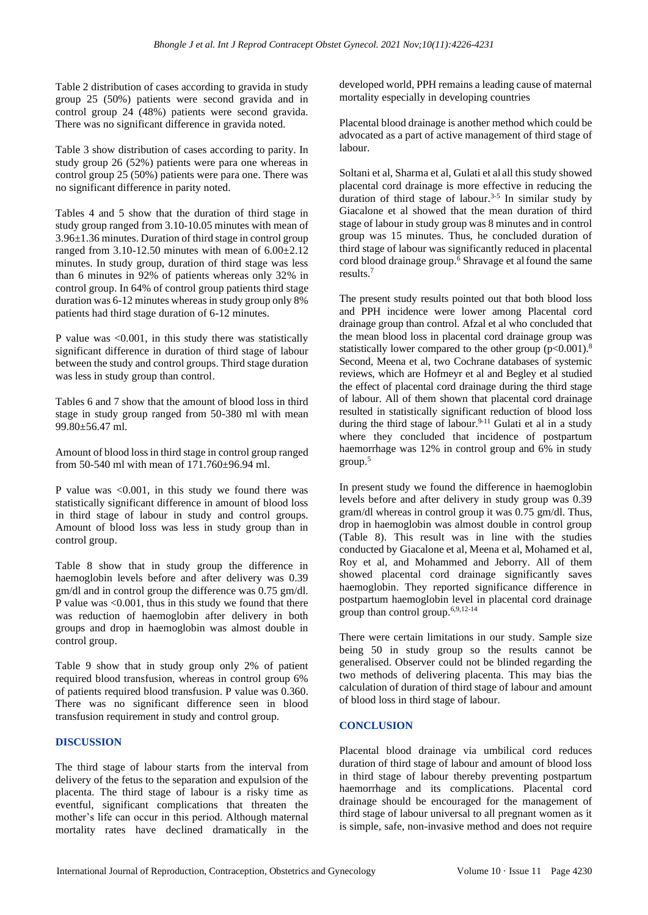Table 2 distribution of cases according to gravida in study group 25 (50%) patients were second gravida and in control group 24 (48%) patients were second gravida. There was no significant difference in gravida noted.

Table 3 show distribution of cases according to parity. In study group 26 (52%) patients were para one whereas in control group 25 (50%) patients were para one. There was no significant difference in parity noted.

Tables 4 and 5 show that the duration of third stage in study group ranged from 3.10-10.05 minutes with mean of 3.96±1.36 minutes. Duration of third stage in control group ranged from  $3.10 - 12.50$  minutes with mean of  $6.00 \pm 2.12$ minutes. In study group, duration of third stage was less than 6 minutes in 92% of patients whereas only 32% in control group. In 64% of control group patients third stage duration was 6-12 minutes whereas in study group only 8% patients had third stage duration of 6-12 minutes.

P value was  $\leq 0.001$ , in this study there was statistically significant difference in duration of third stage of labour between the study and control groups. Third stage duration was less in study group than control.

Tables 6 and 7 show that the amount of blood loss in third stage in study group ranged from 50-380 ml with mean 99.80±56.47 ml.

Amount of blood loss in third stage in control group ranged from 50-540 ml with mean of 171.760±96.94 ml.

P value was <0.001, in this study we found there was statistically significant difference in amount of blood loss in third stage of labour in study and control groups. Amount of blood loss was less in study group than in control group.

Table 8 show that in study group the difference in haemoglobin levels before and after delivery was 0.39 gm/dl and in control group the difference was 0.75 gm/dl. P value was  $\leq 0.001$ , thus in this study we found that there was reduction of haemoglobin after delivery in both groups and drop in haemoglobin was almost double in control group.

Table 9 show that in study group only 2% of patient required blood transfusion, whereas in control group 6% of patients required blood transfusion. P value was 0.360. There was no significant difference seen in blood transfusion requirement in study and control group.

### **DISCUSSION**

The third stage of labour starts from the interval from delivery of the fetus to the separation and expulsion of the placenta. The third stage of labour is a risky time as eventful, significant complications that threaten the mother's life can occur in this period. Although maternal mortality rates have declined dramatically in the developed world, PPH remains a leading cause of maternal mortality especially in developing countries

Placental blood drainage is another method which could be advocated as a part of active management of third stage of labour.

Soltani et al, Sharma et al, Gulati et al all this study showed placental cord drainage is more effective in reducing the duration of third stage of labour.<sup>3-5</sup> In similar study by Giacalone et al showed that the mean duration of third stage of labour in study group was 8 minutes and in control group was 15 minutes. Thus, he concluded duration of third stage of labour was significantly reduced in placental cord blood drainage group.<sup> $\overline{6}$ </sup> Shravage et alfound the same results.<sup>7</sup>

The present study results pointed out that both blood loss and PPH incidence were lower among Placental cord drainage group than control. Afzal et al who concluded that the mean blood loss in placental cord drainage group was statistically lower compared to the other group  $(p<0.001)$ .<sup>8</sup> Second, Meena et al, two Cochrane databases of systemic reviews, which are Hofmeyr et al and Begley et al studied the effect of placental cord drainage during the third stage of labour. All of them shown that placental cord drainage resulted in statistically significant reduction of blood loss during the third stage of labour.<sup>9-11</sup> Gulati et al in a study where they concluded that incidence of postpartum haemorrhage was 12% in control group and 6% in study group.<sup>5</sup>

In present study we found the difference in haemoglobin levels before and after delivery in study group was 0.39 gram/dl whereas in control group it was 0.75 gm/dl. Thus, drop in haemoglobin was almost double in control group (Table 8). This result was in line with the studies conducted by Giacalone et al, Meena et al, Mohamed et al, Roy et al, and Mohammed and Jeborry. All of them showed placental cord drainage significantly saves haemoglobin. They reported significance difference in postpartum haemoglobin level in placental cord drainage group than control group.6,9,12-14

There were certain limitations in our study. Sample size being 50 in study group so the results cannot be generalised. Observer could not be blinded regarding the two methods of delivering placenta. This may bias the calculation of duration of third stage of labour and amount of blood loss in third stage of labour.

### **CONCLUSION**

Placental blood drainage via umbilical cord reduces duration of third stage of labour and amount of blood loss in third stage of labour thereby preventing postpartum haemorrhage and its complications. Placental cord drainage should be encouraged for the management of third stage of labour universal to all pregnant women as it is simple, safe, non-invasive method and does not require